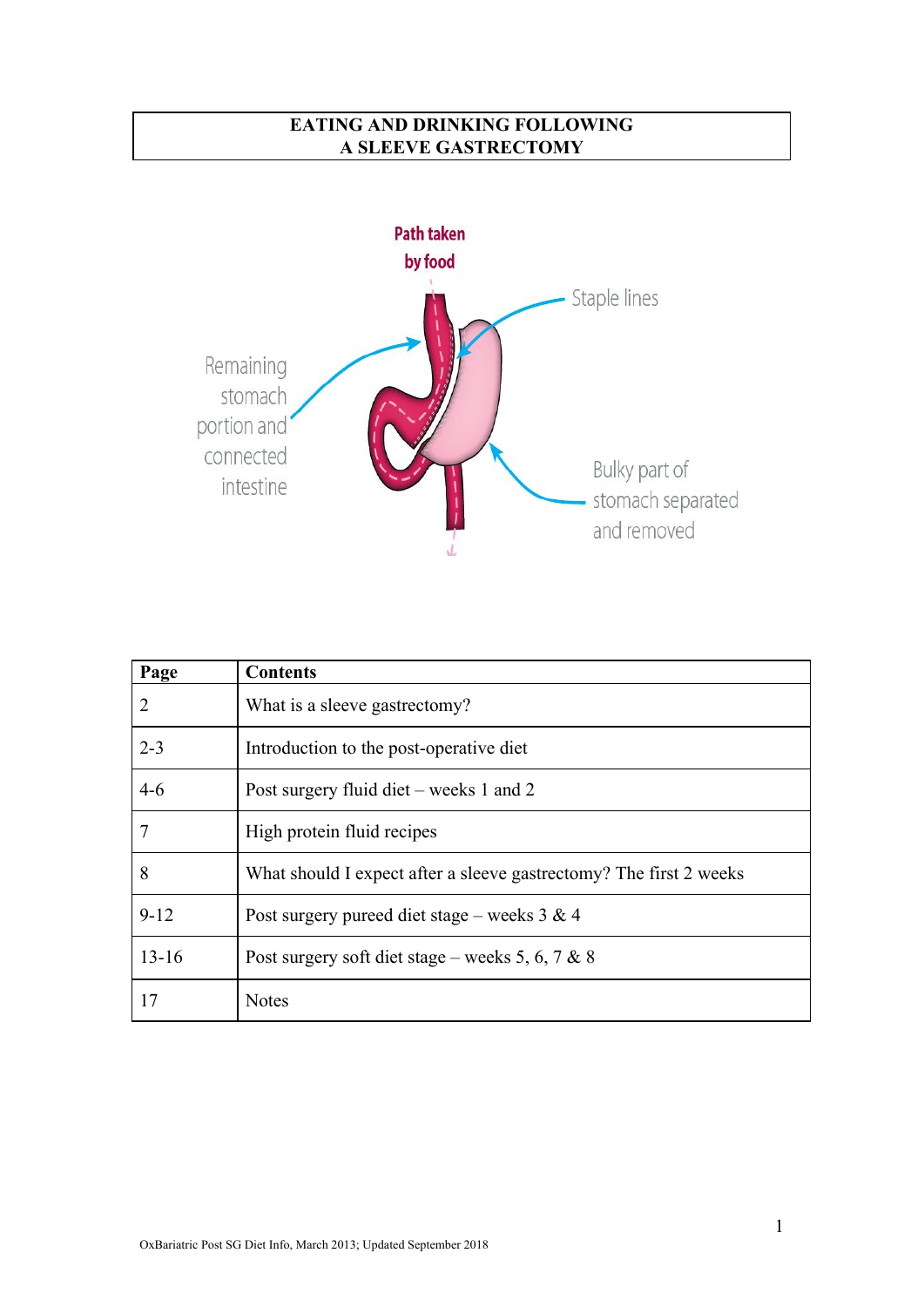### **EATING AND DRINKING FOLLOWING A SLEEVE GASTRECTOMY**



| Page      | <b>Contents</b>                                                    |
|-----------|--------------------------------------------------------------------|
| 2         | What is a sleeve gastrectomy?                                      |
| $2 - 3$   | Introduction to the post-operative diet                            |
| $4 - 6$   | Post surgery fluid diet – weeks 1 and 2                            |
| 7         | High protein fluid recipes                                         |
| 8         | What should I expect after a sleeve gastrectomy? The first 2 weeks |
| $9 - 12$  | Post surgery pureed diet stage – weeks $3 \& 4$                    |
| $13 - 16$ | Post surgery soft diet stage – weeks 5, 6, 7 & 8                   |
| 17        | <b>Notes</b>                                                       |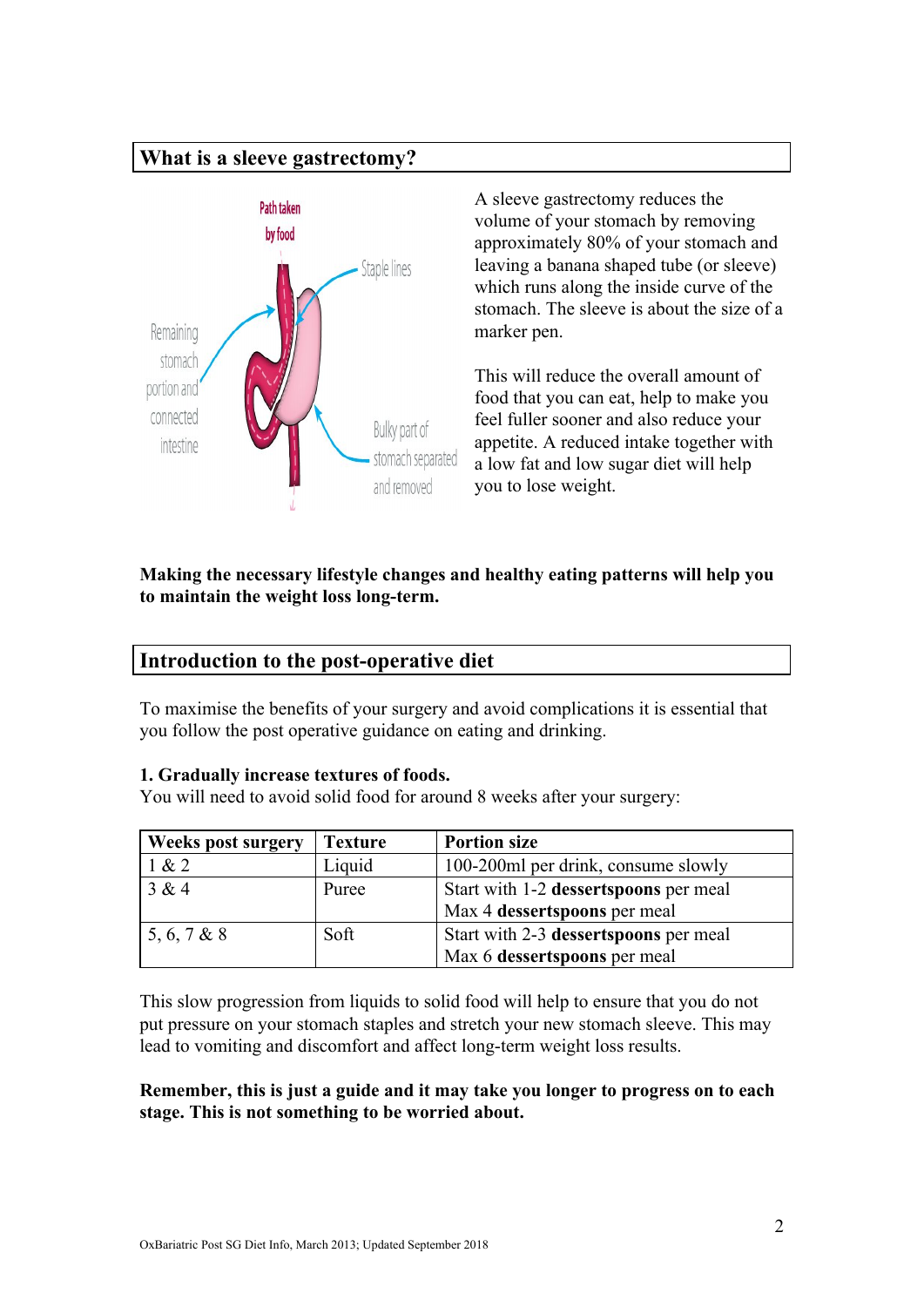## **What is a sleeve gastrectomy?**



A sleeve gastrectomy reduces the volume of your stomach by removing approximately 80% of your stomach and leaving a banana shaped tube (or sleeve) which runs along the inside curve of the stomach. The sleeve is about the size of a marker pen.

This will reduce the overall amount of food that you can eat, help to make you feel fuller sooner and also reduce your appetite. A reduced intake together with a low fat and low sugar diet will help you to lose weight.

#### **Making the necessary lifestyle changes and healthy eating patterns will help you to maintain the weight loss long-term.**

### **Introduction to the post-operative diet**

To maximise the benefits of your surgery and avoid complications it is essential that you follow the post operative guidance on eating and drinking.

#### **1. Gradually increase textures of foods.**

You will need to avoid solid food for around 8 weeks after your surgery:

| Weeks post surgery | <b>Texture</b> | <b>Portion size</b>                   |
|--------------------|----------------|---------------------------------------|
| 1 & 2              | Liquid         | 100-200ml per drink, consume slowly   |
| 3 & 4              | Puree          | Start with 1-2 dessertspoons per meal |
|                    |                | Max 4 dessertspoons per meal          |
| 5, 6, 7 & 8        | Soft           | Start with 2-3 dessertspoons per meal |
|                    |                | Max 6 dessertspoons per meal          |

This slow progression from liquids to solid food will help to ensure that you do not put pressure on your stomach staples and stretch your new stomach sleeve. This may lead to vomiting and discomfort and affect long-term weight loss results.

#### **Remember, this is just a guide and it may take you longer to progress on to each stage. This is not something to be worried about.**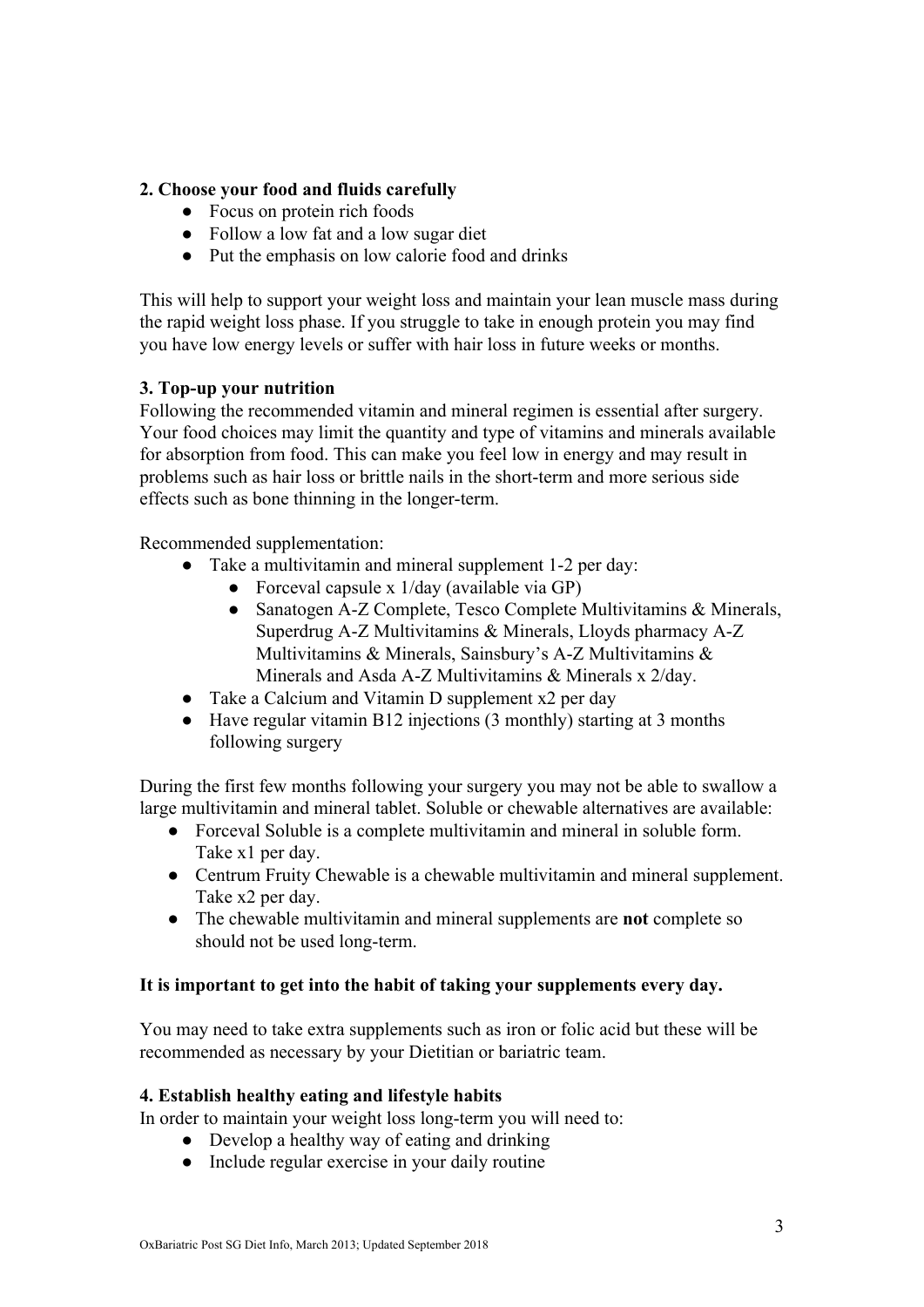### **2. Choose your food and fluids carefully**

- Focus on protein rich foods
- Follow a low fat and a low sugar diet
- Put the emphasis on low calorie food and drinks

This will help to support your weight loss and maintain your lean muscle mass during the rapid weight loss phase. If you struggle to take in enough protein you may find you have low energy levels or suffer with hair loss in future weeks or months.

#### **3. Top-up your nutrition**

Following the recommended vitamin and mineral regimen is essential after surgery. Your food choices may limit the quantity and type of vitamins and minerals available for absorption from food. This can make you feel low in energy and may result in problems such as hair loss or brittle nails in the short-term and more serious side effects such as bone thinning in the longer-term.

Recommended supplementation:

- Take a multivitamin and mineral supplement 1-2 per day:
	- Forceval capsule x  $1/dav$  (available via GP)
	- Sanatogen A-Z Complete, Tesco Complete Multivitamins & Minerals, Superdrug A-Z Multivitamins & Minerals, Lloyds pharmacy A-Z Multivitamins & Minerals, Sainsbury's A-Z Multivitamins & Minerals and Asda A-Z Multivitamins & Minerals x 2/day.
- Take a Calcium and Vitamin D supplement x2 per day
- Have regular vitamin B12 injections (3 monthly) starting at 3 months following surgery

During the first few months following your surgery you may not be able to swallow a large multivitamin and mineral tablet. Soluble or chewable alternatives are available:

- Forceval Soluble is a complete multivitamin and mineral in soluble form. Take x1 per day.
- Centrum Fruity Chewable is a chewable multivitamin and mineral supplement. Take x2 per day.
- The chewable multivitamin and mineral supplements are **not** complete so should not be used long-term.

#### **It is important to get into the habit of taking your supplements every day.**

You may need to take extra supplements such as iron or folic acid but these will be recommended as necessary by your Dietitian or bariatric team.

#### **4. Establish healthy eating and lifestyle habits**

In order to maintain your weight loss long-term you will need to:

- Develop a healthy way of eating and drinking
- Include regular exercise in your daily routine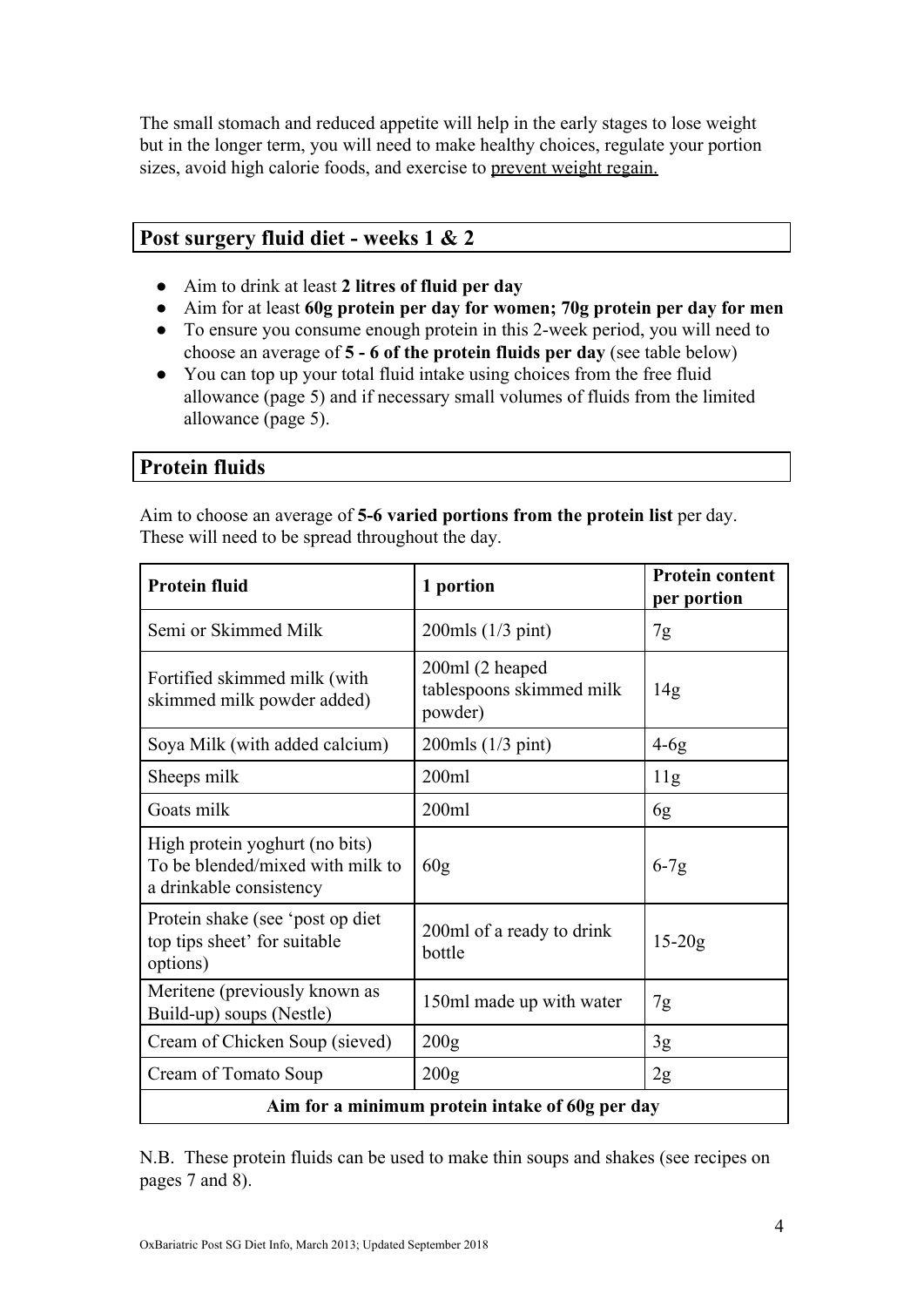The small stomach and reduced appetite will help in the early stages to lose weight but in the longer term, you will need to make healthy choices, regulate your portion sizes, avoid high calorie foods, and exercise to prevent weight regain.

### **Post surgery fluid diet - weeks 1 & 2**

- Aim to drink at least **2 litres of fluid per day**
- Aim for at least **60g protein per day for women; 70g protein per day for men**
- To ensure you consume enough protein in this 2-week period, you will need to choose an average of **5 - 6 of the protein fluids per day** (see table below)
- You can top up your total fluid intake using choices from the free fluid allowance (page 5) and if necessary small volumes of fluids from the limited allowance (page 5).

### **Protein fluids**

High protein yoghurt (no bits) To be blended/mixed with milk to

Protein shake (see 'post op diet top tips sheet' for suitable

Meritene (previously known as

a drinkable consistency

options)

| These will need to be spread throughout the day.           |                                                         |                                       |  |
|------------------------------------------------------------|---------------------------------------------------------|---------------------------------------|--|
| <b>Protein fluid</b>                                       | 1 portion                                               | <b>Protein content</b><br>per portion |  |
| Semi or Skimmed Milk                                       | $200$ mls $(1/3$ pint)                                  | 7g                                    |  |
| Fortified skimmed milk (with<br>skimmed milk powder added) | 200ml (2 heaped)<br>tablespoons skimmed milk<br>powder) | 14 <sub>g</sub>                       |  |
| Soya Milk (with added calcium)                             | $200$ mls $(1/3$ pint)                                  | $4-6g$                                |  |
| Sheeps milk                                                | 200ml                                                   | 11g                                   |  |
| Goats milk                                                 | 200ml                                                   | 6g                                    |  |

60g 6-7g

200ml of a ready to drink<br>bottle 15-20g

Aim to choose an average of **5-6 varied portions from the protein list** per day.

| N.B. These protein fluids can be used to make thin soups and shakes (see recipes on |  |  |
|-------------------------------------------------------------------------------------|--|--|
| pages 7 and 8).                                                                     |  |  |

**Aim for a minimum protein intake of 60g per day**

Build-up) soups (Nestle)  $\begin{bmatrix} 150 \text{ml} \text{m} \text{ad} \text{e} \text{up} \text{with} \text{water} \end{bmatrix}$  7g

Cream of Chicken Soup (sieved) 200g 3g

Cream of Tomato Soup 200g 2g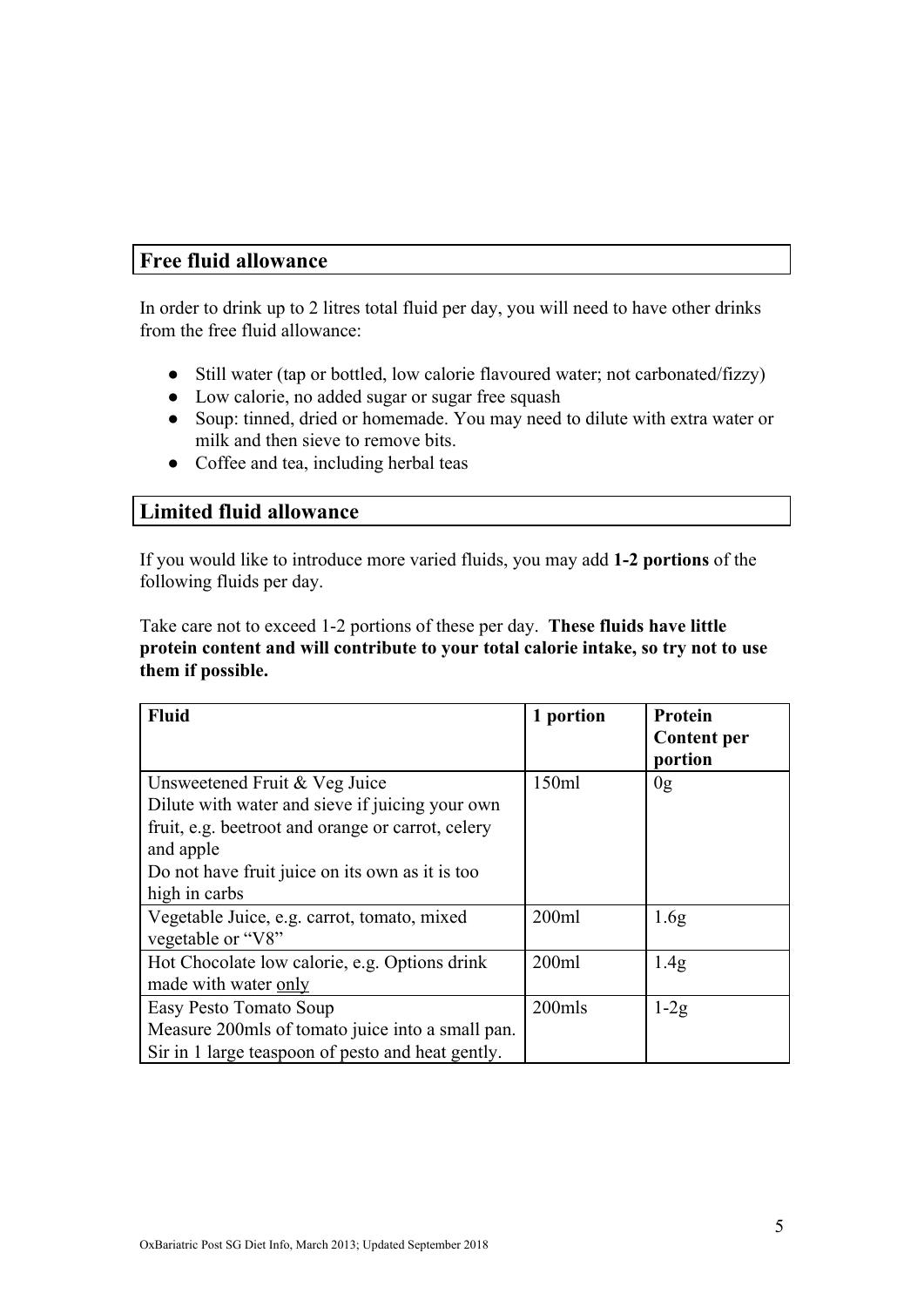### **Free fluid allowance**

In order to drink up to 2 litres total fluid per day, you will need to have other drinks from the free fluid allowance:

- Still water (tap or bottled, low calorie flavoured water; not carbonated/fizzy)
- Low calorie, no added sugar or sugar free squash
- Soup: tinned, dried or homemade. You may need to dilute with extra water or milk and then sieve to remove bits.
- Coffee and tea, including herbal teas

## **Limited fluid allowance**

If you would like to introduce more varied fluids, you may add **1-2 portions** of the following fluids per day.

Take care not to exceed 1-2 portions of these per day. **These fluids have little protein content and will contribute to your total calorie intake, so try not to use them if possible.**

| <b>Fluid</b>                                                                                                                                                                                                           | 1 portion | <b>Protein</b><br><b>Content per</b><br>portion |
|------------------------------------------------------------------------------------------------------------------------------------------------------------------------------------------------------------------------|-----------|-------------------------------------------------|
| Unsweetened Fruit & Veg Juice<br>Dilute with water and sieve if juicing your own<br>fruit, e.g. beetroot and orange or carrot, celery<br>and apple<br>Do not have fruit juice on its own as it is too<br>high in carbs | 150ml     | 0g                                              |
| Vegetable Juice, e.g. carrot, tomato, mixed<br>vegetable or "V8"                                                                                                                                                       | 200ml     | 1.6 <sub>g</sub>                                |
| Hot Chocolate low calorie, e.g. Options drink<br>made with water only                                                                                                                                                  | 200ml     | 1.4 <sub>g</sub>                                |
| Easy Pesto Tomato Soup<br>Measure 200mls of tomato juice into a small pan.<br>Sir in 1 large teaspoon of pesto and heat gently.                                                                                        | 200mls    | $1-2g$                                          |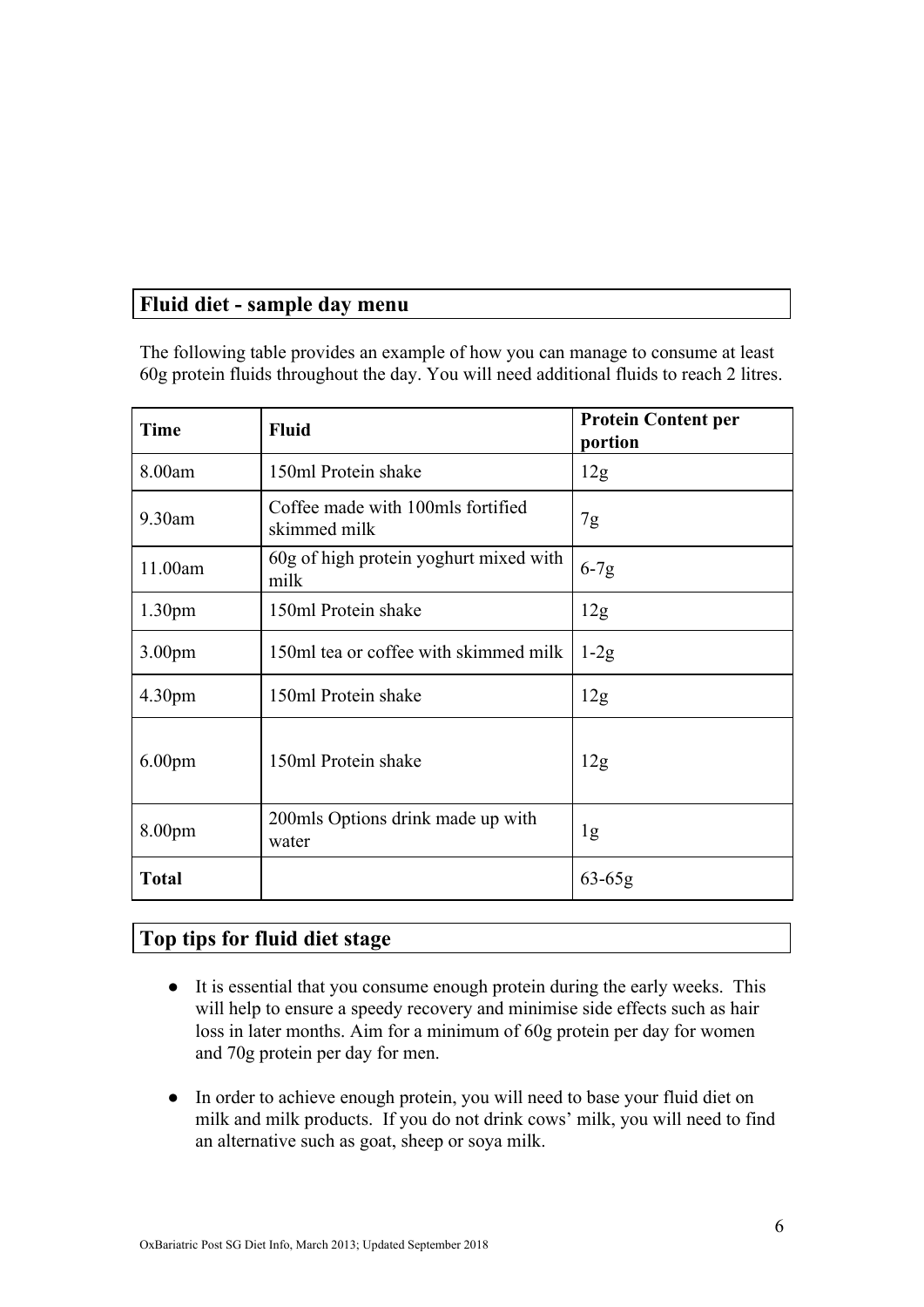# **Fluid diet - sample day menu**

The following table provides an example of how you can manage to consume at least 60g protein fluids throughout the day. You will need additional fluids to reach 2 litres.

| <b>Time</b>        | <b>Fluid</b>                                      | <b>Protein Content per</b><br>portion |
|--------------------|---------------------------------------------------|---------------------------------------|
| 8.00am             | 150ml Protein shake                               | 12g                                   |
| 9.30am             | Coffee made with 100mls fortified<br>skimmed milk | 7g                                    |
| 11.00am            | 60g of high protein yoghurt mixed with<br>milk    | $6-7g$                                |
| 1.30 <sub>pm</sub> | 150ml Protein shake                               | 12g                                   |
| 3.00 <sub>pm</sub> | 150ml tea or coffee with skimmed milk             | $1-2g$                                |
| 4.30 <sub>pm</sub> | 150ml Protein shake                               | 12g                                   |
| 6.00 <sub>pm</sub> | 150ml Protein shake                               | 12g                                   |
| 8.00pm             | 200 mls Options drink made up with<br>water       | 1g                                    |
| <b>Total</b>       |                                                   | 63-65g                                |

## **Top tips for fluid diet stage**

- It is essential that you consume enough protein during the early weeks. This will help to ensure a speedy recovery and minimise side effects such as hair loss in later months. Aim for a minimum of 60g protein per day for women and 70g protein per day for men.
- In order to achieve enough protein, you will need to base your fluid diet on milk and milk products. If you do not drink cows' milk, you will need to find an alternative such as goat, sheep or soya milk.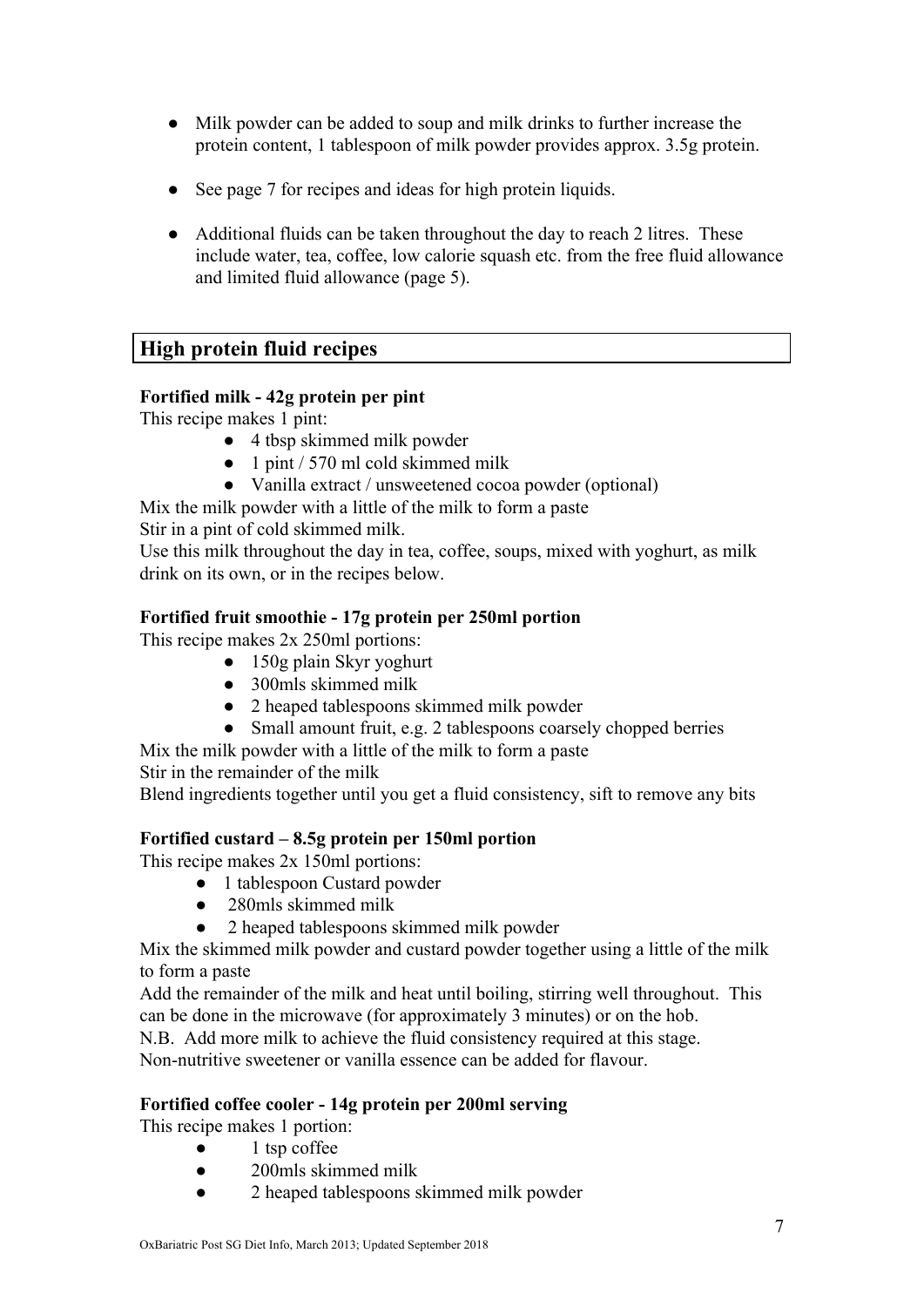- Milk powder can be added to soup and milk drinks to further increase the protein content, 1 tablespoon of milk powder provides approx. 3.5g protein.
- See page 7 for recipes and ideas for high protein liquids.
- Additional fluids can be taken throughout the day to reach 2 litres. These include water, tea, coffee, low calorie squash etc. from the free fluid allowance and limited fluid allowance (page 5).

## **High protein fluid recipes**

### **Fortified milk - 42g protein per pint**

This recipe makes 1 pint:

- 4 tbsp skimmed milk powder
- $\bullet$  1 pint / 570 ml cold skimmed milk
- Vanilla extract / unsweetened cocoa powder (optional)
- Mix the milk powder with a little of the milk to form a paste

Stir in a pint of cold skimmed milk.

Use this milk throughout the day in tea, coffee, soups, mixed with yoghurt, as milk drink on its own, or in the recipes below.

### **Fortified fruit smoothie - 17g protein per 250ml portion**

This recipe makes 2x 250ml portions:

- 150g plain Skyr yoghurt
- 300mls skimmed milk
- 2 heaped tablespoons skimmed milk powder
- Small amount fruit, e.g. 2 tablespoons coarsely chopped berries
- Mix the milk powder with a little of the milk to form a paste

Stir in the remainder of the milk

Blend ingredients together until you get a fluid consistency, sift to remove any bits

#### **Fortified custard – 8.5g protein per 150ml portion**

This recipe makes 2x 150ml portions:

- 1 tablespoon Custard powder
- 280mls skimmed milk
- 2 heaped tablespoons skimmed milk powder

Mix the skimmed milk powder and custard powder together using a little of the milk to form a paste

Add the remainder of the milk and heat until boiling, stirring well throughout. This can be done in the microwave (for approximately 3 minutes) or on the hob.

N.B. Add more milk to achieve the fluid consistency required at this stage.

Non-nutritive sweetener or vanilla essence can be added for flavour.

#### **Fortified coffee cooler - 14g protein per 200ml serving**

This recipe makes 1 portion:

- 1 tsp coffee
- 200mls skimmed milk
- 2 heaped tablespoons skimmed milk powder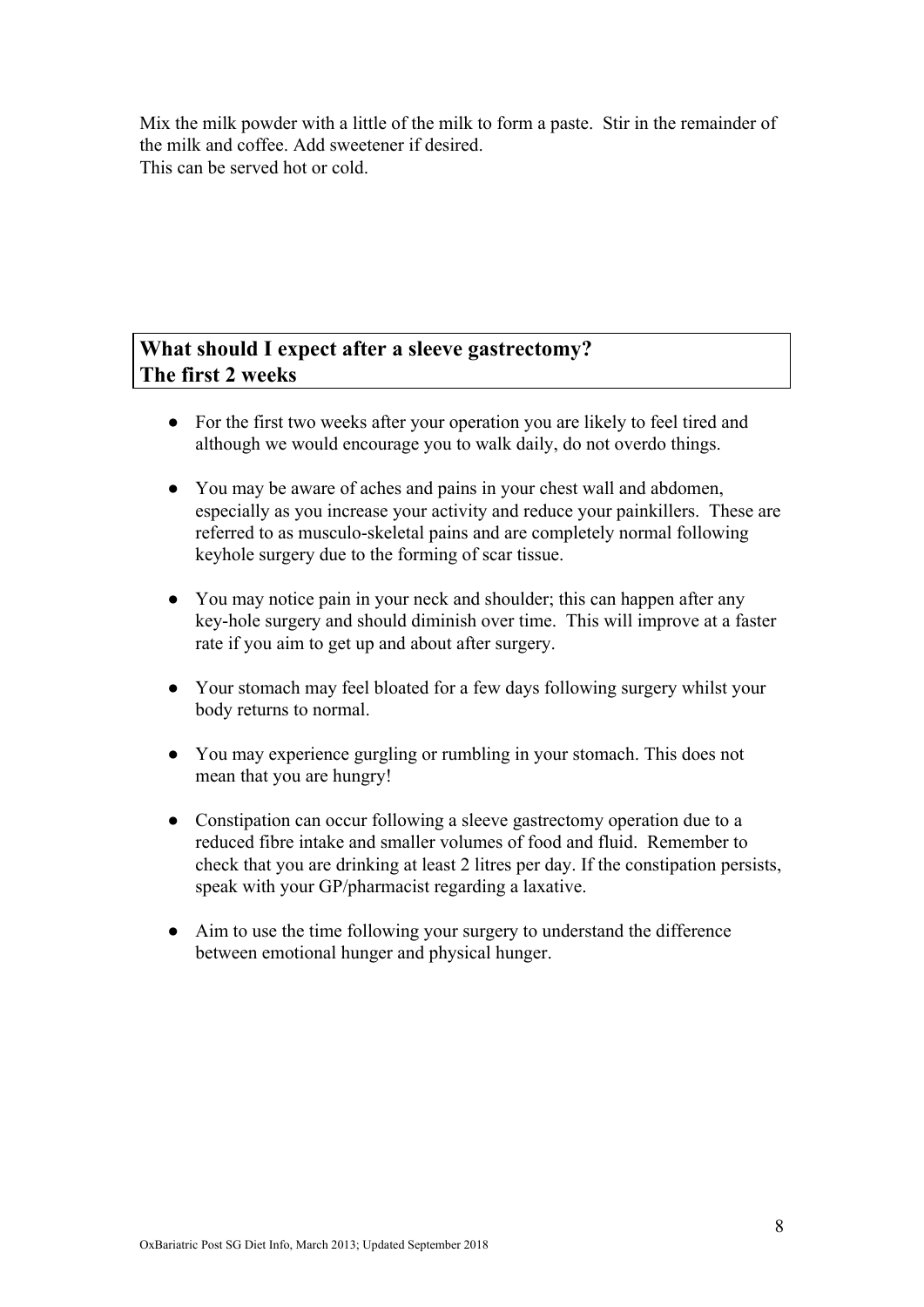Mix the milk powder with a little of the milk to form a paste. Stir in the remainder of the milk and coffee. Add sweetener if desired. This can be served hot or cold.

## **What should I expect after a sleeve gastrectomy? The first 2 weeks**

- For the first two weeks after your operation you are likely to feel tired and although we would encourage you to walk daily, do not overdo things.
- You may be aware of aches and pains in your chest wall and abdomen, especially as you increase your activity and reduce your painkillers. These are referred to as musculo-skeletal pains and are completely normal following keyhole surgery due to the forming of scar tissue.
- You may notice pain in your neck and shoulder; this can happen after any key-hole surgery and should diminish over time. This will improve at a faster rate if you aim to get up and about after surgery.
- Your stomach may feel bloated for a few days following surgery whilst your body returns to normal.
- You may experience gurgling or rumbling in your stomach. This does not mean that you are hungry!
- Constipation can occur following a sleeve gastrectomy operation due to a reduced fibre intake and smaller volumes of food and fluid. Remember to check that you are drinking at least 2 litres per day. If the constipation persists, speak with your GP/pharmacist regarding a laxative.
- Aim to use the time following your surgery to understand the difference between emotional hunger and physical hunger.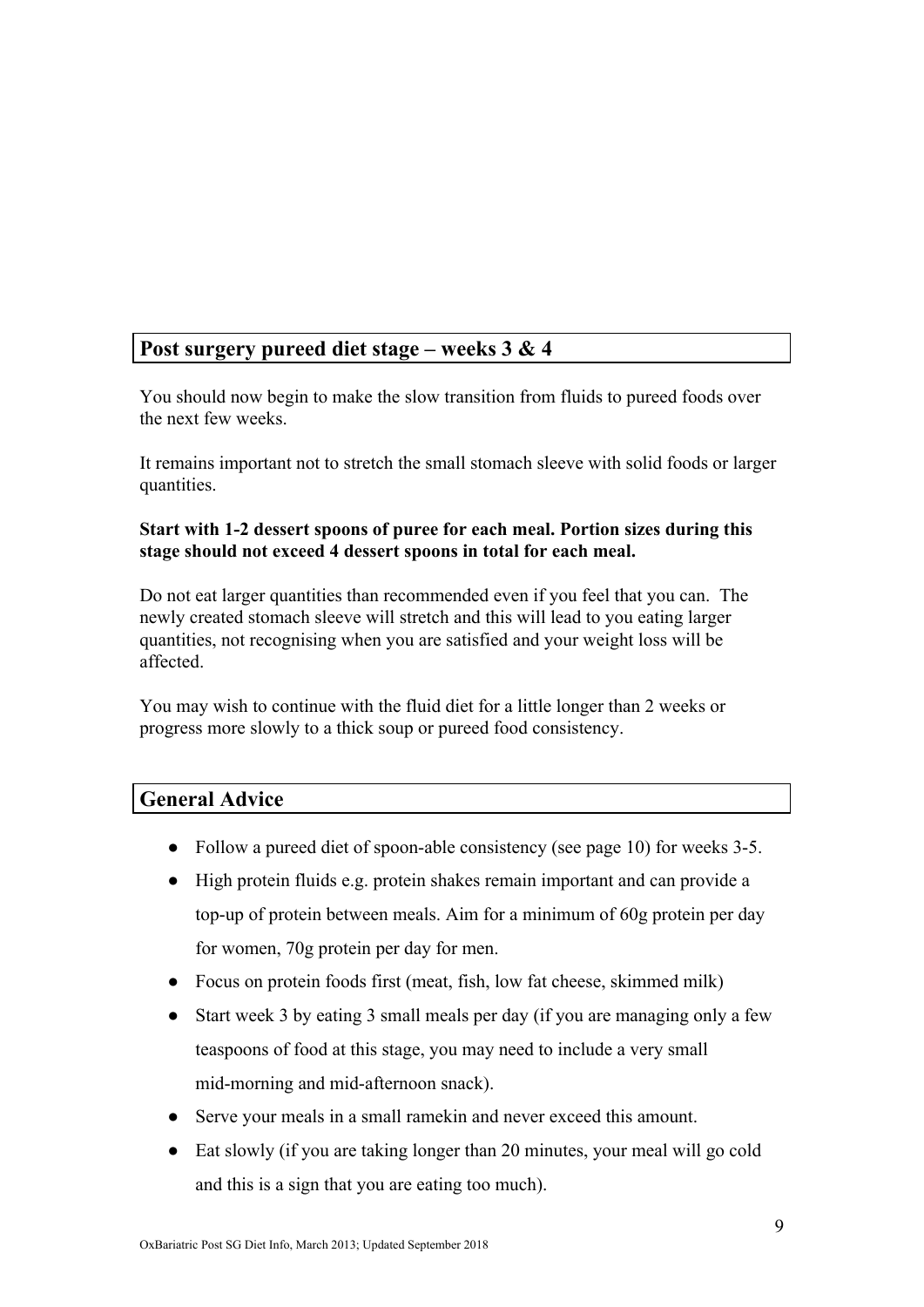## **Post surgery pureed diet stage – weeks 3 & 4**

You should now begin to make the slow transition from fluids to pureed foods over the next few weeks.

It remains important not to stretch the small stomach sleeve with solid foods or larger quantities.

#### **Start with 1-2 dessert spoons of puree for each meal. Portion sizes during this stage should not exceed 4 dessert spoons in total for each meal.**

Do not eat larger quantities than recommended even if you feel that you can. The newly created stomach sleeve will stretch and this will lead to you eating larger quantities, not recognising when you are satisfied and your weight loss will be affected.

You may wish to continue with the fluid diet for a little longer than 2 weeks or progress more slowly to a thick soup or pureed food consistency.

## **General Advice**

- Follow a pureed diet of spoon-able consistency (see page 10) for weeks 3-5.
- High protein fluids e.g. protein shakes remain important and can provide a top-up of protein between meals. Aim for a minimum of 60g protein per day for women, 70g protein per day for men.
- Focus on protein foods first (meat, fish, low fat cheese, skimmed milk)
- Start week 3 by eating 3 small meals per day (if you are managing only a few teaspoons of food at this stage, you may need to include a very small mid-morning and mid-afternoon snack).
- Serve your meals in a small ramekin and never exceed this amount.
- Eat slowly (if you are taking longer than 20 minutes, your meal will go cold and this is a sign that you are eating too much).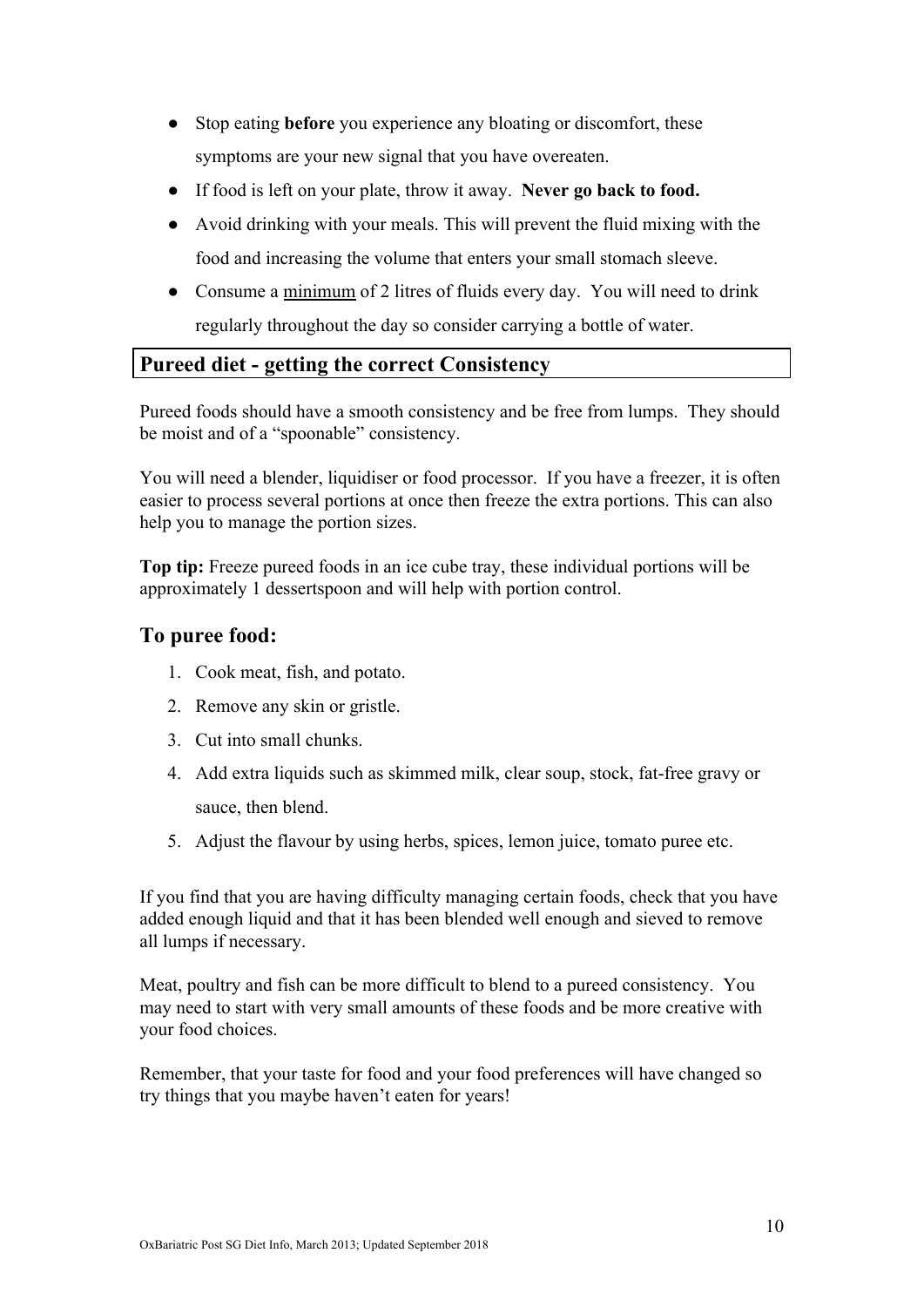- Stop eating **before** you experience any bloating or discomfort, these symptoms are your new signal that you have overeaten.
- If food is left on your plate, throw it away. **Never go back to food.**
- Avoid drinking with your meals. This will prevent the fluid mixing with the food and increasing the volume that enters your small stomach sleeve.
- Consume a minimum of 2 litres of fluids every day. You will need to drink regularly throughout the day so consider carrying a bottle of water.

### **Pureed diet - getting the correct Consistency**

Pureed foods should have a smooth consistency and be free from lumps. They should be moist and of a "spoonable" consistency.

You will need a blender, liquidiser or food processor. If you have a freezer, it is often easier to process several portions at once then freeze the extra portions. This can also help you to manage the portion sizes.

**Top tip:** Freeze pureed foods in an ice cube tray, these individual portions will be approximately 1 dessertspoon and will help with portion control.

### **To puree food:**

- 1. Cook meat, fish, and potato.
- 2. Remove any skin or gristle.
- 3. Cut into small chunks.
- 4. Add extra liquids such as skimmed milk, clear soup, stock, fat-free gravy or sauce, then blend.
- 5. Adjust the flavour by using herbs, spices, lemon juice, tomato puree etc.

If you find that you are having difficulty managing certain foods, check that you have added enough liquid and that it has been blended well enough and sieved to remove all lumps if necessary.

Meat, poultry and fish can be more difficult to blend to a pureed consistency. You may need to start with very small amounts of these foods and be more creative with your food choices.

Remember, that your taste for food and your food preferences will have changed so try things that you maybe haven't eaten for years!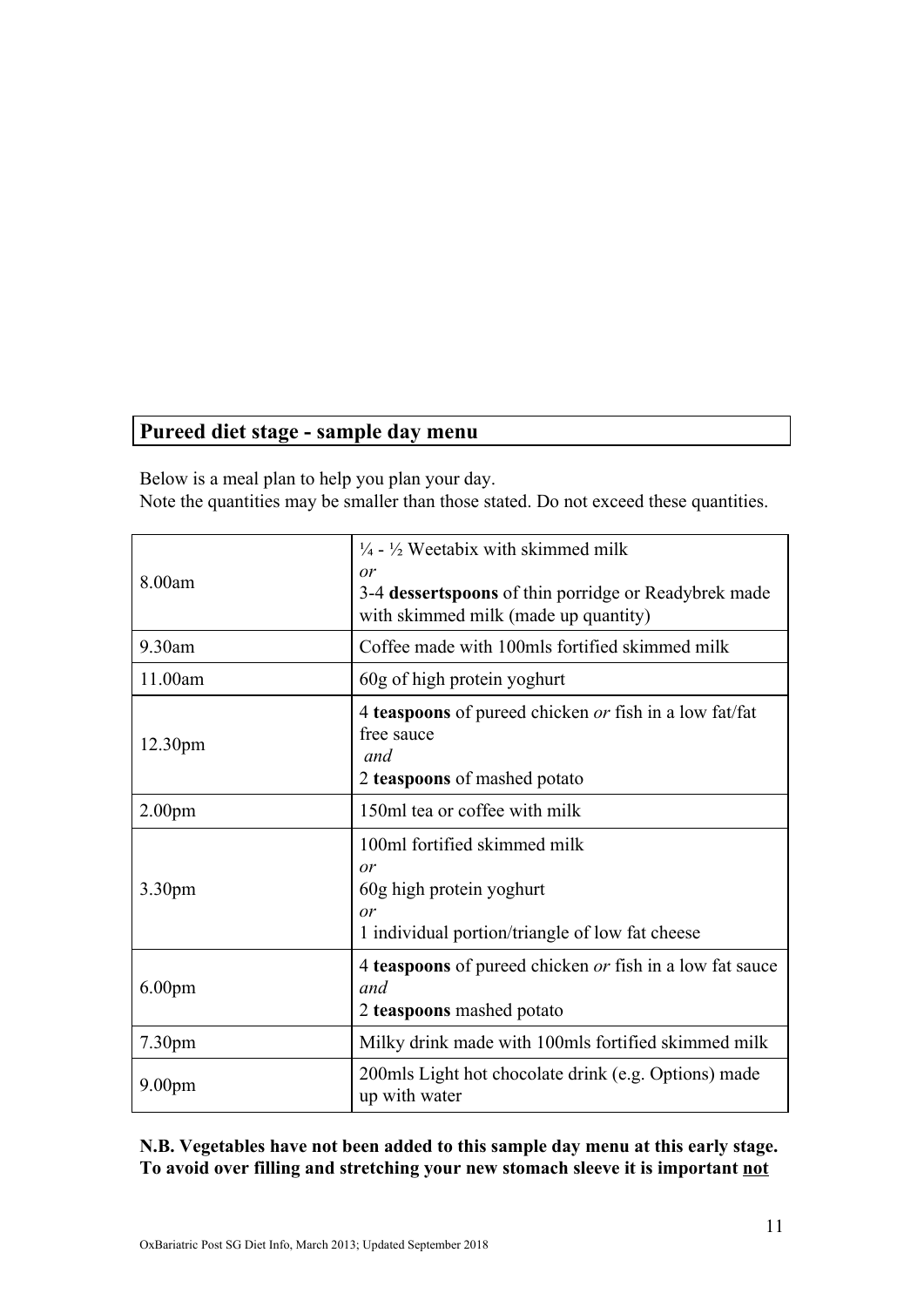# **Pureed diet stage - sample day menu**

Below is a meal plan to help you plan your day. Note the quantities may be smaller than those stated. Do not exceed these quantities.

| 8.00am             | $\frac{1}{4}$ - $\frac{1}{2}$ Weetabix with skimmed milk<br>or<br>3-4 dessertspoons of thin porridge or Readybrek made  |
|--------------------|-------------------------------------------------------------------------------------------------------------------------|
|                    | with skimmed milk (made up quantity)                                                                                    |
| 9.30am             | Coffee made with 100mls fortified skimmed milk                                                                          |
| 11.00am            | 60g of high protein yoghurt                                                                                             |
| 12.30pm            | 4 teaspoons of pureed chicken or fish in a low fat/fat<br>free sauce<br>and<br>2 teaspoons of mashed potato             |
| 2.00 <sub>pm</sub> | 150ml tea or coffee with milk                                                                                           |
| 3.30 <sub>pm</sub> | 100ml fortified skimmed milk<br>or<br>60g high protein yoghurt<br>or<br>1 individual portion/triangle of low fat cheese |
| 6.00 <sub>pm</sub> | 4 <b>teaspoons</b> of pureed chicken <i>or</i> fish in a low fat sauce<br>and<br>2 teaspoons mashed potato              |
| 7.30pm             | Milky drink made with 100mls fortified skimmed milk                                                                     |
| 9.00 <sub>pm</sub> | 200mls Light hot chocolate drink (e.g. Options) made<br>up with water                                                   |

### **N.B. Vegetables have not been added to this sample day menu at this early stage. To avoid over filling and stretching your new stomach sleeve it is important not**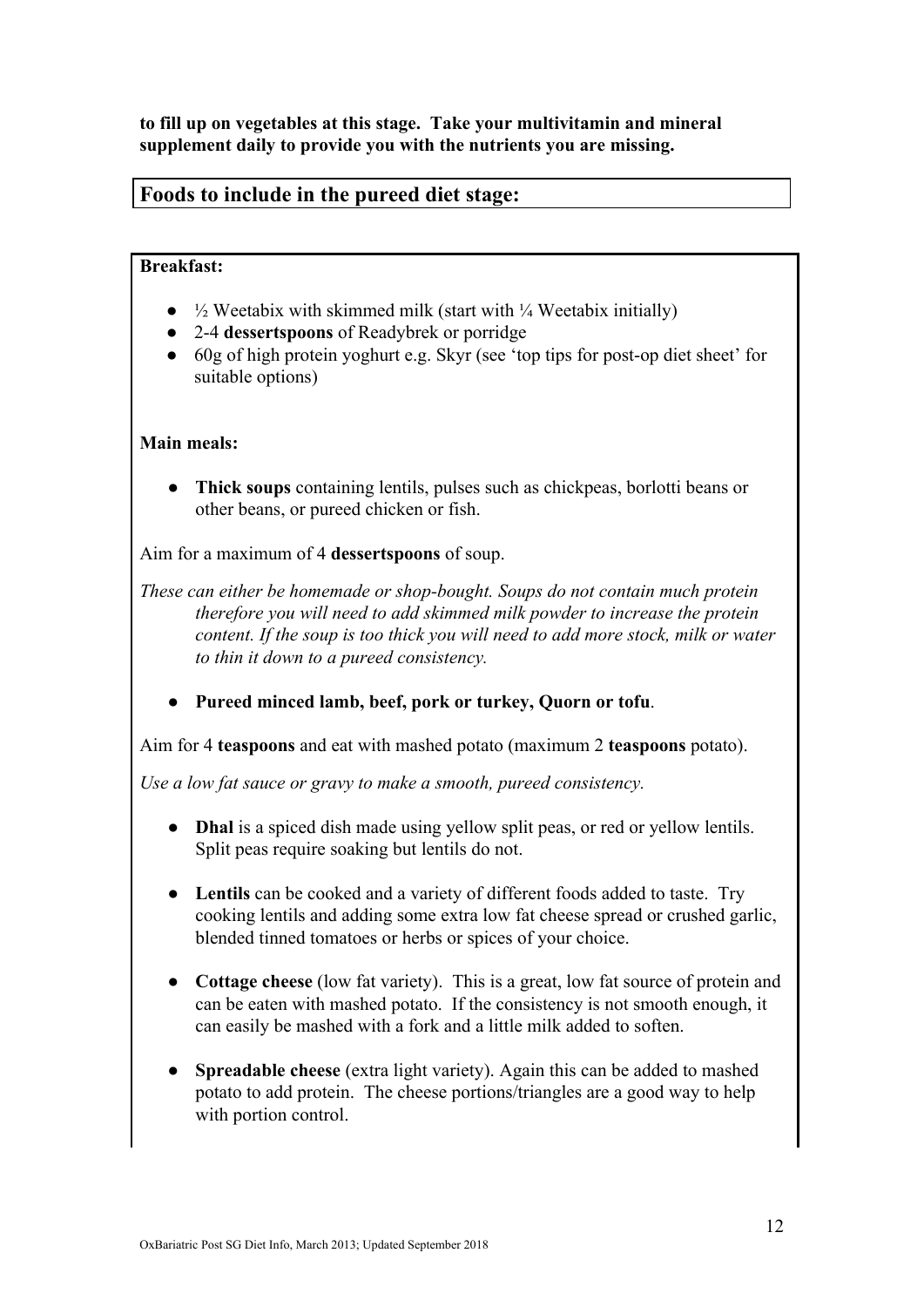**to fill up on vegetables at this stage. Take your multivitamin and mineral supplement daily to provide you with the nutrients you are missing.**

### **Foods to include in the pureed diet stage:**

#### **Breakfast:**

- $\frac{1}{2}$  Weetabix with skimmed milk (start with  $\frac{1}{4}$  Weetabix initially)
- 2-4 **dessertspoons** of Readybrek or porridge
- 60g of high protein yoghurt e.g. Skyr (see 'top tips for post-op diet sheet' for suitable options)

#### **Main meals:**

● **Thick soups** containing lentils, pulses such as chickpeas, borlotti beans or other beans, or pureed chicken or fish.

Aim for a maximum of 4 **dessertspoons** of soup.

*These can either be homemade or shop-bought. Soups do not contain much protein therefore you will need to add skimmed milk powder to increase the protein content. If the soup is too thick you will need to add more stock, milk or water to thin it down to a pureed consistency.*

Pureed minced lamb, beef, pork or turkey, Quorn or tofu.

Aim for 4 **teaspoons** and eat with mashed potato (maximum 2 **teaspoons** potato).

*Use a low fat sauce or gravy to make a smooth, pureed consistency.*

- **Dhal** is a spiced dish made using yellow split peas, or red or yellow lentils. Split peas require soaking but lentils do not.
- **Lentils** can be cooked and a variety of different foods added to taste. Try cooking lentils and adding some extra low fat cheese spread or crushed garlic, blended tinned tomatoes or herbs or spices of your choice.
- **Cottage cheese** (low fat variety). This is a great, low fat source of protein and can be eaten with mashed potato. If the consistency is not smooth enough, it can easily be mashed with a fork and a little milk added to soften.
- **Spreadable cheese** (extra light variety). Again this can be added to mashed potato to add protein. The cheese portions/triangles are a good way to help with portion control.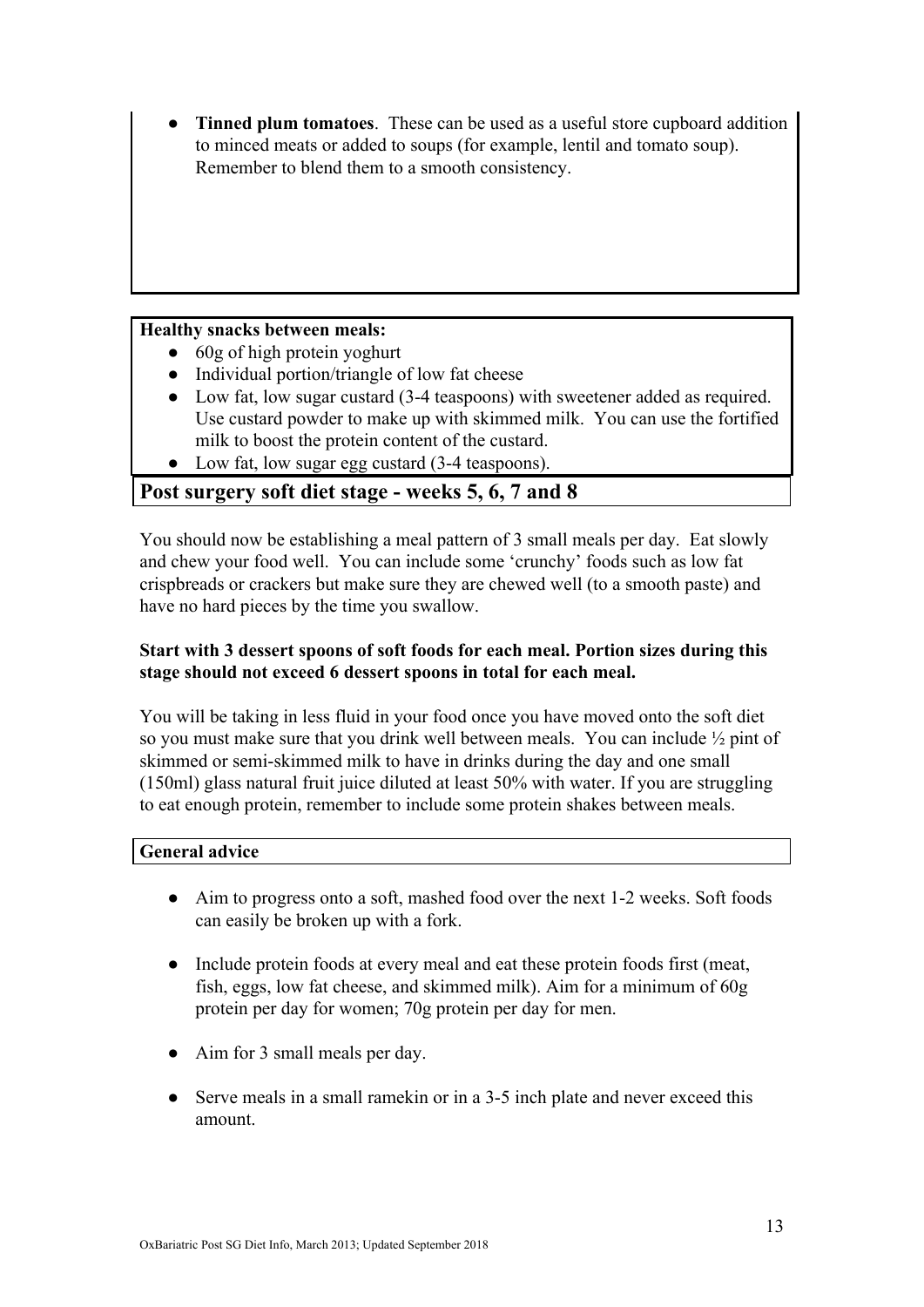**Tinned plum tomatoes**. These can be used as a useful store cupboard addition to minced meats or added to soups (for example, lentil and tomato soup). Remember to blend them to a smooth consistency.

#### **Healthy snacks between meals:**

- 60g of high protein yoghurt
- Individual portion/triangle of low fat cheese
- Low fat, low sugar custard (3-4 teaspoons) with sweetener added as required. Use custard powder to make up with skimmed milk. You can use the fortified milk to boost the protein content of the custard.
- Low fat, low sugar egg custard (3-4 teaspoons).

### **Post surgery soft diet stage - weeks 5, 6, 7 and 8**

You should now be establishing a meal pattern of 3 small meals per day. Eat slowly and chew your food well. You can include some 'crunchy' foods such as low fat crispbreads or crackers but make sure they are chewed well (to a smooth paste) and have no hard pieces by the time you swallow.

#### **Start with 3 dessert spoons of soft foods for each meal. Portion sizes during this stage should not exceed 6 dessert spoons in total for each meal.**

You will be taking in less fluid in your food once you have moved onto the soft diet so you must make sure that you drink well between meals. You can include ½ pint of skimmed or semi-skimmed milk to have in drinks during the day and one small (150ml) glass natural fruit juice diluted at least 50% with water. If you are struggling to eat enough protein, remember to include some protein shakes between meals.

#### **General advice**

- Aim to progress onto a soft, mashed food over the next 1-2 weeks. Soft foods can easily be broken up with a fork.
- Include protein foods at every meal and eat these protein foods first (meat, fish, eggs, low fat cheese, and skimmed milk). Aim for a minimum of 60g protein per day for women; 70g protein per day for men.
- Aim for 3 small meals per day.
- Serve meals in a small ramekin or in a 3-5 inch plate and never exceed this amount.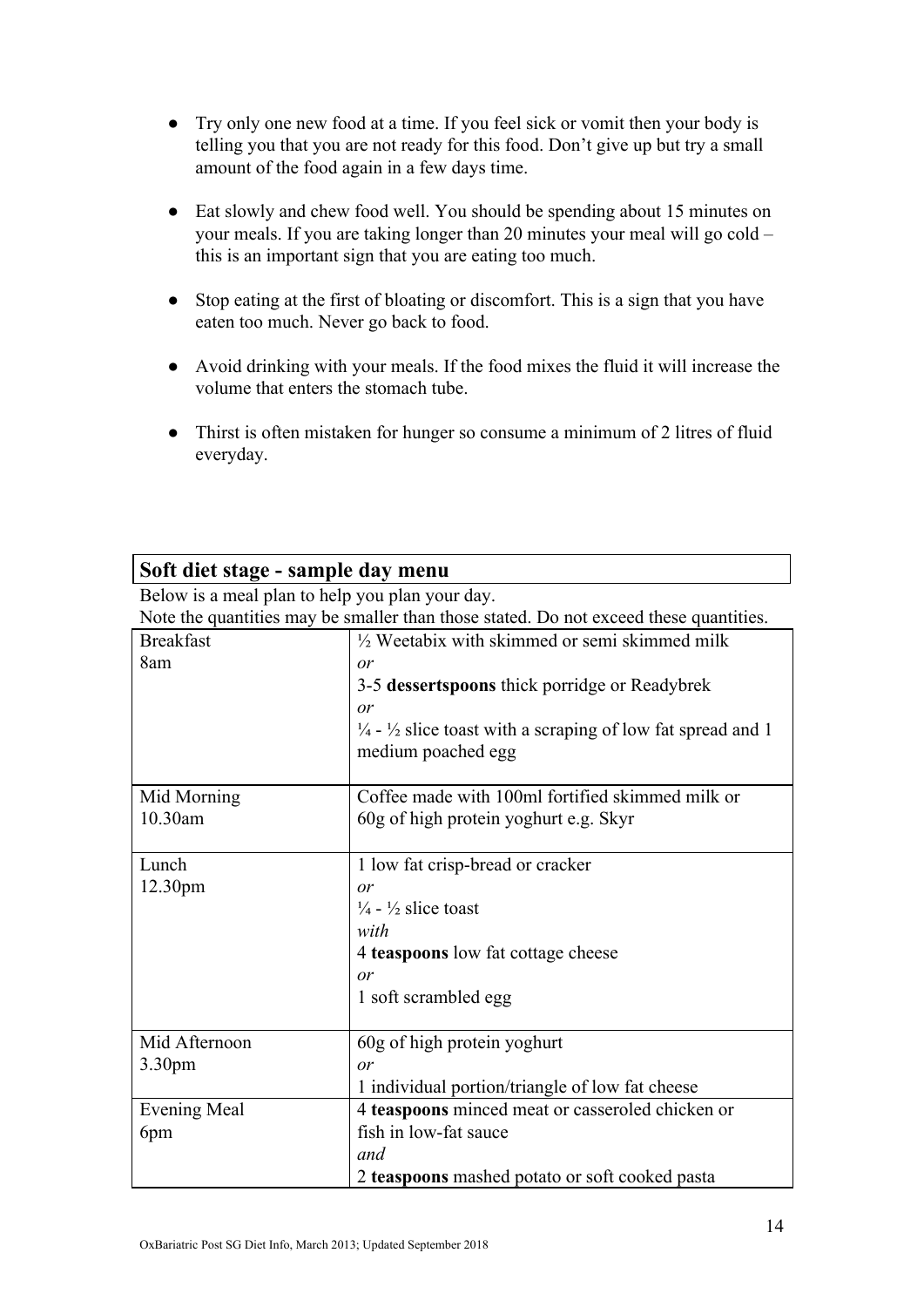- Try only one new food at a time. If you feel sick or vomit then your body is telling you that you are not ready for this food. Don't give up but try a small amount of the food again in a few days time.
- Eat slowly and chew food well. You should be spending about 15 minutes on your meals. If you are taking longer than 20 minutes your meal will go cold – this is an important sign that you are eating too much.
- Stop eating at the first of bloating or discomfort. This is a sign that you have eaten too much. Never go back to food.
- Avoid drinking with your meals. If the food mixes the fluid it will increase the volume that enters the stomach tube.
- Thirst is often mistaken for hunger so consume a minimum of 2 litres of fluid everyday.

| Soft diet stage - sample day menu                                                     |                                                                                   |  |
|---------------------------------------------------------------------------------------|-----------------------------------------------------------------------------------|--|
| Below is a meal plan to help you plan your day.                                       |                                                                                   |  |
| Note the quantities may be smaller than those stated. Do not exceed these quantities. |                                                                                   |  |
| <b>Breakfast</b>                                                                      | $\frac{1}{2}$ Weetabix with skimmed or semi skimmed milk                          |  |
| 8am                                                                                   | or                                                                                |  |
|                                                                                       | 3-5 dessertspoons thick porridge or Readybrek                                     |  |
|                                                                                       | or                                                                                |  |
|                                                                                       | $\frac{1}{4}$ - $\frac{1}{2}$ slice toast with a scraping of low fat spread and 1 |  |
|                                                                                       | medium poached egg                                                                |  |
|                                                                                       |                                                                                   |  |
| Mid Morning                                                                           | Coffee made with 100ml fortified skimmed milk or                                  |  |
| 10.30am                                                                               | 60g of high protein yoghurt e.g. Skyr                                             |  |
|                                                                                       |                                                                                   |  |
| Lunch                                                                                 | 1 low fat crisp-bread or cracker                                                  |  |
| 12.30pm                                                                               | or                                                                                |  |
|                                                                                       | $\frac{1}{4}$ - $\frac{1}{2}$ slice toast                                         |  |
|                                                                                       | with                                                                              |  |
|                                                                                       | 4 teaspoons low fat cottage cheese                                                |  |
|                                                                                       | or                                                                                |  |
|                                                                                       | 1 soft scrambled egg                                                              |  |
|                                                                                       |                                                                                   |  |
| Mid Afternoon                                                                         | 60g of high protein yoghurt                                                       |  |
| 3.30pm                                                                                | or                                                                                |  |
|                                                                                       | 1 individual portion/triangle of low fat cheese                                   |  |
| <b>Evening Meal</b>                                                                   | 4 teaspoons minced meat or casseroled chicken or                                  |  |
| 6pm                                                                                   | fish in low-fat sauce                                                             |  |
|                                                                                       | and                                                                               |  |
|                                                                                       | 2 teaspoons mashed potato or soft cooked pasta                                    |  |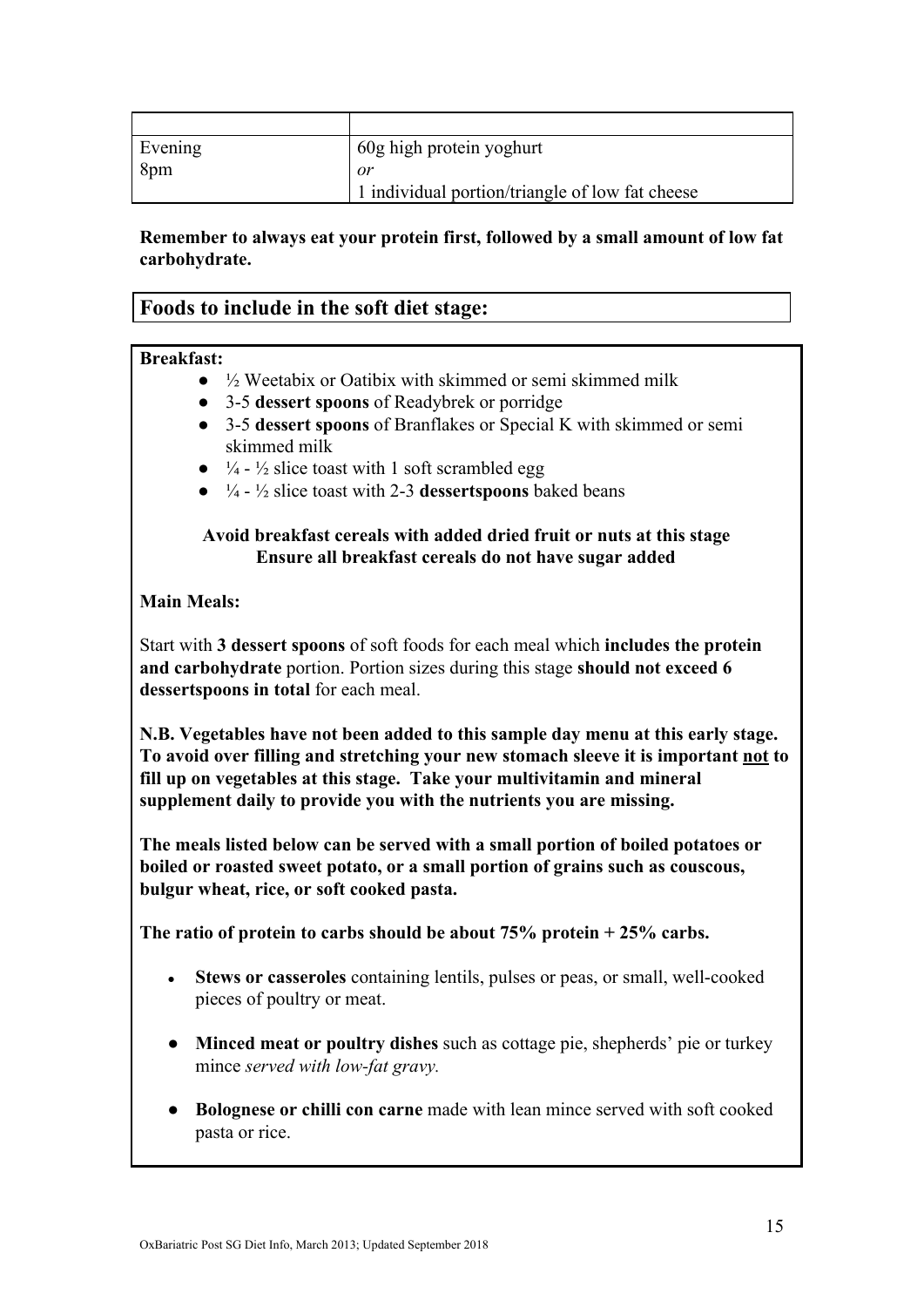| Evening | 60g high protein yoghurt                        |
|---------|-------------------------------------------------|
| 8pm     | or                                              |
|         | 1 individual portion/triangle of low fat cheese |

**Remember to always eat your protein first, followed by a small amount of low fat carbohydrate.**

### **Foods to include in the soft diet stage:**

#### **Breakfast:**

- $\bullet$   $\frac{1}{2}$  Weetabix or Oatibix with skimmed or semi skimmed milk
- 3-5 **dessert spoons** of Readybrek or porridge
- 3-5 **dessert spoons** of Branflakes or Special K with skimmed or semi skimmed milk
- $\bullet$   $\frac{1}{4}$   $\frac{1}{2}$  slice toast with 1 soft scrambled egg
- ¼ ½ slice toast with 2-3 **dessertspoons** baked beans

#### **Avoid breakfast cereals with added dried fruit or nuts at this stage Ensure all breakfast cereals do not have sugar added**

#### **Main Meals:**

Start with **3 dessert spoons** of soft foods for each meal which **includes the protein and carbohydrate** portion. Portion sizes during this stage **should not exceed 6 dessertspoons in total** for each meal.

**N.B. Vegetables have not been added to this sample day menu at this early stage. To avoid over filling and stretching your new stomach sleeve it is important not to fill up on vegetables at this stage. Take your multivitamin and mineral supplement daily to provide you with the nutrients you are missing.**

**The meals listed below can be served with a small portion of boiled potatoes or boiled or roasted sweet potato, or a small portion of grains such as couscous, bulgur wheat, rice, or soft cooked pasta.**

**The ratio of protein to carbs should be about 75% protein + 25% carbs.**

- **Stews or casseroles** containing lentils, pulses or peas, or small, well-cooked pieces of poultry or meat.
- **Minced meat or poultry dishes** such as cottage pie, shepherds' pie or turkey mince *served with low-fat gravy.*
- **Bolognese or chilli con carne** made with lean mince served with soft cooked pasta or rice.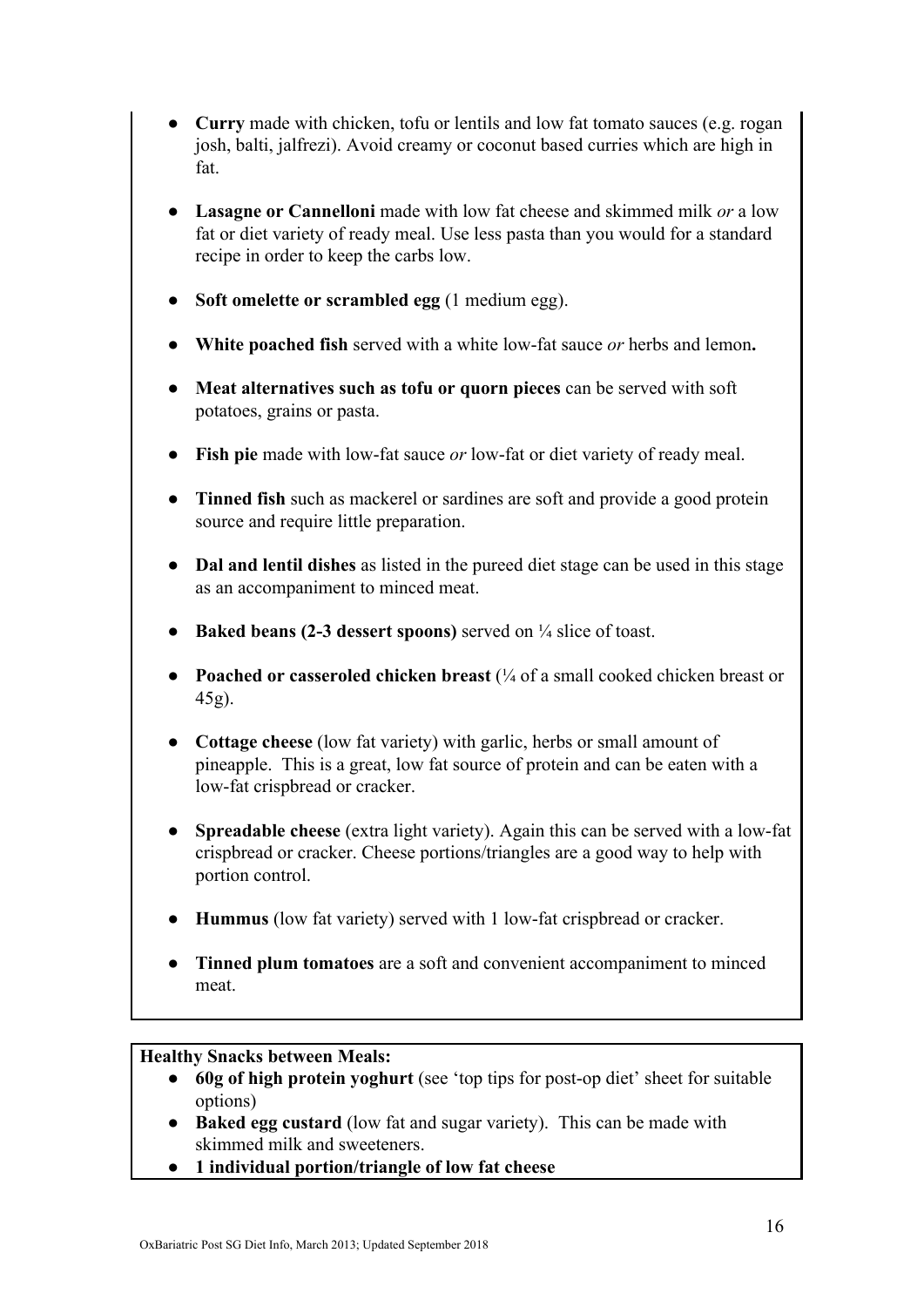- **Curry** made with chicken, tofu or lentils and low fat tomato sauces (e.g. rogan josh, balti, jalfrezi). Avoid creamy or coconut based curries which are high in fat.
- **Lasagne or Cannelloni** made with low fat cheese and skimmed milk *or* a low fat or diet variety of ready meal. Use less pasta than you would for a standard recipe in order to keep the carbs low.
- **Soft omelette or scrambled egg** (1 medium egg).
- **White poached fish** served with a white low-fat sauce *or* herbs and lemon.
- **Meat alternatives such as tofu or quorn pieces** can be served with soft potatoes, grains or pasta.
- **Fish pie** made with low-fat sauce *or* low-fat or diet variety of ready meal.
- **Tinned fish** such as mackerel or sardines are soft and provide a good protein source and require little preparation.
- **Dal and lentil dishes** as listed in the pureed diet stage can be used in this stage as an accompaniment to minced meat.
- **Baked beans (2-3 dessert spoons)** served on <sup>1</sup>/4 slice of toast.
- **Poached or casseroled chicken breast** (¼ of a small cooked chicken breast or 45g).
- **Cottage cheese** (low fat variety) with garlic, herbs or small amount of pineapple. This is a great, low fat source of protein and can be eaten with a low-fat crispbread or cracker.
- **Spreadable cheese** (extra light variety). Again this can be served with a low-fat crispbread or cracker. Cheese portions/triangles are a good way to help with portion control.
- **Hummus** (low fat variety) served with 1 low-fat crispbread or cracker.
- **Tinned plum tomatoes** are a soft and convenient accompaniment to minced meat.

#### **Healthy Snacks between Meals:**

- **60g of high protein yoghurt** (see 'top tips for post-op diet' sheet for suitable options)
- **Baked egg custard** (low fat and sugar variety). This can be made with skimmed milk and sweeteners.
- **1 individual portion/triangle of low fat cheese**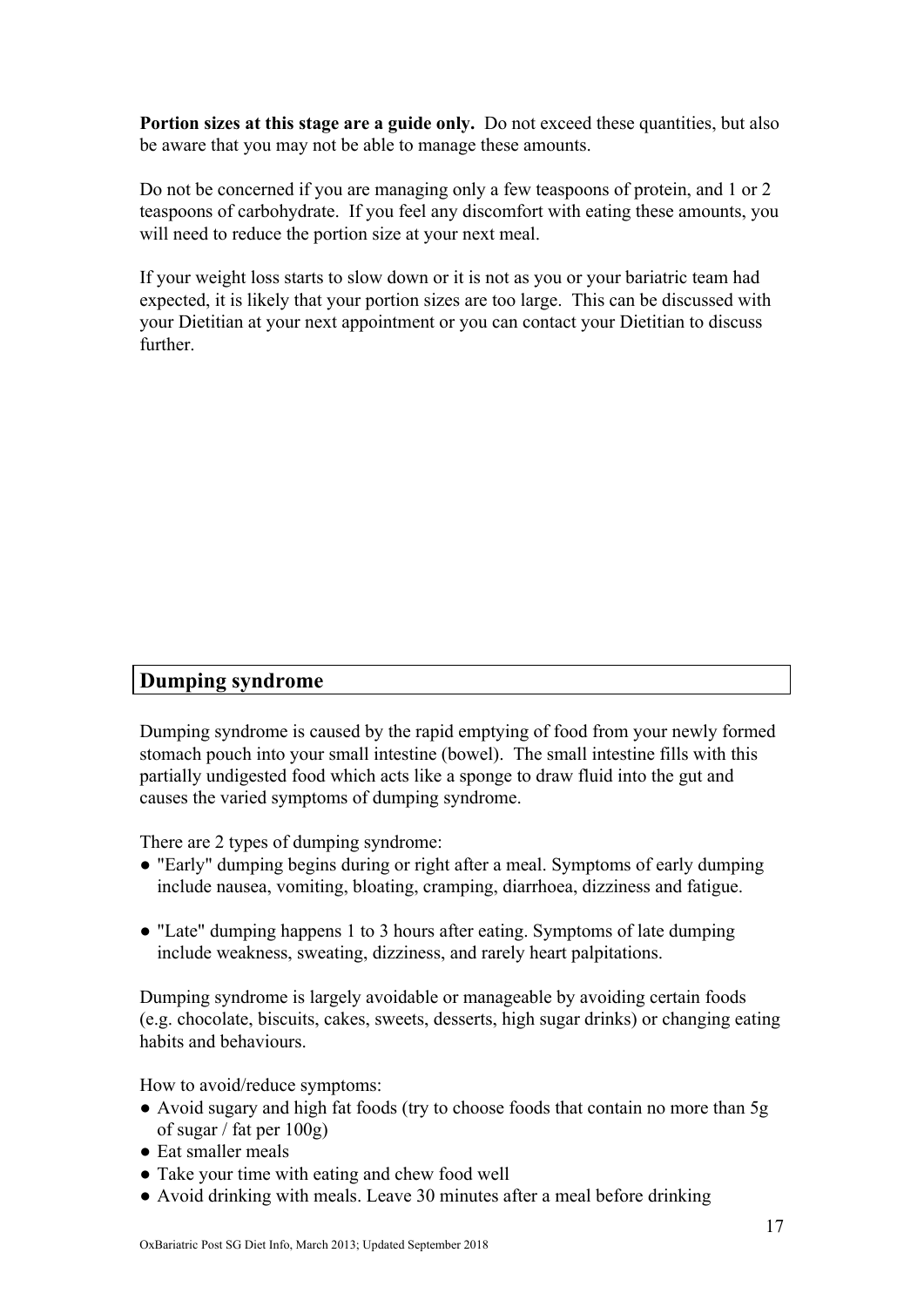**Portion sizes at this stage are a guide only.** Do not exceed these quantities, but also be aware that you may not be able to manage these amounts.

Do not be concerned if you are managing only a few teaspoons of protein, and 1 or 2 teaspoons of carbohydrate. If you feel any discomfort with eating these amounts, you will need to reduce the portion size at your next meal.

If your weight loss starts to slow down or it is not as you or your bariatric team had expected, it is likely that your portion sizes are too large. This can be discussed with your Dietitian at your next appointment or you can contact your Dietitian to discuss further.

## **Dumping syndrome**

Dumping syndrome is caused by the rapid emptying of food from your newly formed stomach pouch into your small intestine (bowel). The small intestine fills with this partially undigested food which acts like a sponge to draw fluid into the gut and causes the varied symptoms of dumping syndrome.

There are 2 types of dumping syndrome:

- "Early" dumping begins during or right after a meal. Symptoms of early dumping include nausea, vomiting, bloating, cramping, diarrhoea, dizziness and fatigue.
- "Late" dumping happens 1 to 3 hours after eating. Symptoms of late dumping include weakness, sweating, dizziness, and rarely heart palpitations.

Dumping syndrome is largely avoidable or manageable by avoiding certain foods (e.g. chocolate, biscuits, cakes, sweets, desserts, high sugar drinks) or changing eating habits and behaviours.

How to avoid/reduce symptoms:

- Avoid sugary and high fat foods (try to choose foods that contain no more than 5g) of sugar / fat per 100g)
- Eat smaller meals
- Take your time with eating and chew food well
- Avoid drinking with meals. Leave 30 minutes after a meal before drinking